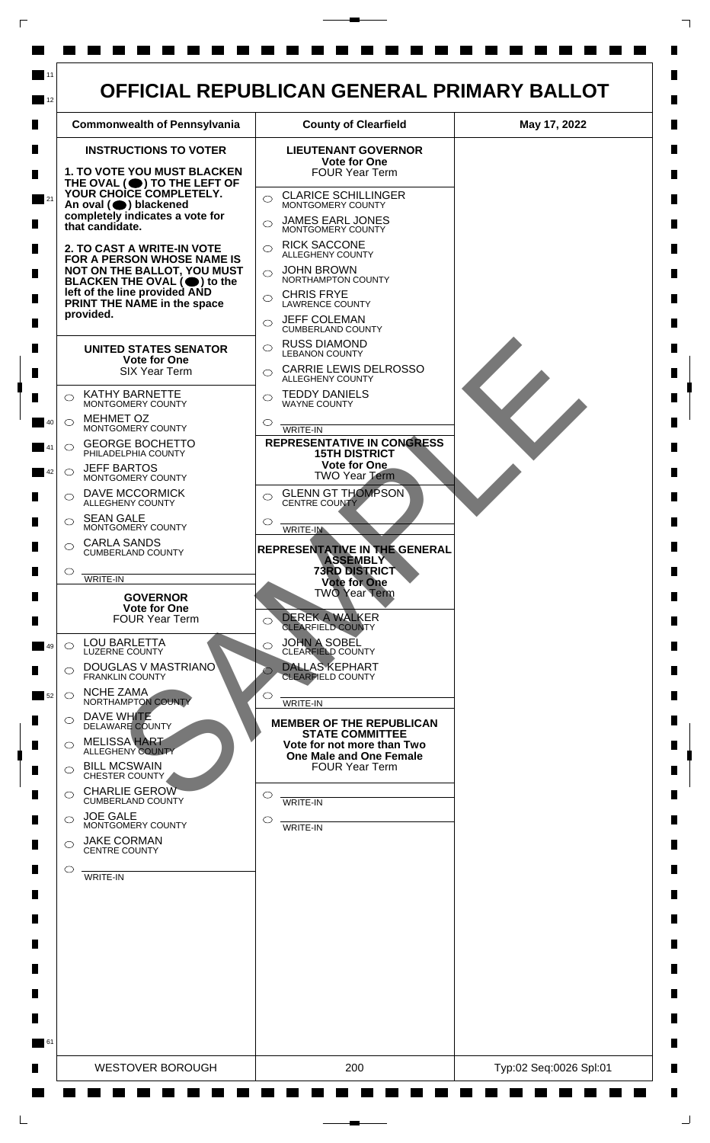

 $\mathsf{L}$ 

 $\Box$